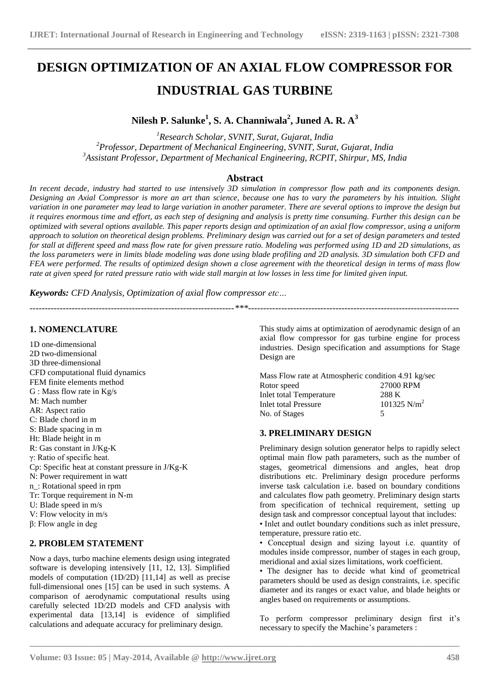# **DESIGN OPTIMIZATION OF AN AXIAL FLOW COMPRESSOR FOR INDUSTRIAL GAS TURBINE**

# **Nilesh P. Salunke<sup>1</sup> , S. A. Channiwala<sup>2</sup> , Juned A. R. A<sup>3</sup>**

*<sup>1</sup>Research Scholar, SVNIT, Surat, Gujarat, India <sup>2</sup>Professor, Department of Mechanical Engineering, SVNIT, Surat, Gujarat, India <sup>3</sup>Assistant Professor, Department of Mechanical Engineering, RCPIT, Shirpur, MS, India*

## **Abstract**

*In recent decade, industry had started to use intensively 3D simulation in compressor flow path and its components design. Designing an Axial Compressor is more an art than science, because one has to vary the parameters by his intuition. Slight variation in one parameter may lead to large variation in another parameter. There are several options to improve the design but it requires enormous time and effort, as each step of designing and analysis is pretty time consuming. Further this design can be optimized with several options available. This paper reports design and optimization of an axial flow compressor, using a uniform approach to solution on theoretical design problems. Preliminary design was carried out for a set of design parameters and tested for stall at different speed and mass flow rate for given pressure ratio. Modeling was performed using 1D and 2D simulations, as the loss parameters were in limits blade modeling was done using blade profiling and 2D analysis. 3D simulation both CFD and FEA were performed. The results of optimized design shown a close agreement with the theoretical design in terms of mass flow rate at given speed for rated pressure ratio with wide stall margin at low losses in less time for limited given input.*

*--------------------------------------------------------------------\*\*\*----------------------------------------------------------------------*

**\_\_\_\_\_\_\_\_\_\_\_\_\_\_\_\_\_\_\_\_\_\_\_\_\_\_\_\_\_\_\_\_\_\_\_\_\_\_\_\_\_\_\_\_\_\_\_\_\_\_\_\_\_\_\_\_\_\_\_\_\_\_\_\_\_\_\_\_\_\_\_\_\_\_\_\_\_\_\_\_\_\_\_\_\_\_\_\_\_\_\_\_\_\_\_**

*Keywords: CFD Analysis, Optimization of axial flow compressor etc…*

## **1. NOMENCLATURE**

1D one-dimensional 2D two-dimensional 3D three-dimensional CFD computational fluid dynamics FEM finite elements method G : Mass flow rate in Kg/s M: Mach number AR: Aspect ratio C: Blade chord in m S: Blade spacing in m Ht: Blade height in m R: Gas constant in J/Kg-K γ: Ratio of specific heat. Cp: Specific heat at constant pressure in J/Kg-K N: Power requirement in watt n\_: Rotational speed in rpm Tr: Torque requirement in N-m U: Blade speed in m/s V: Flow velocity in m/s β: Flow angle in deg

#### **2. PROBLEM STATEMENT**

Now a days, turbo machine elements design using integrated software is developing intensively [11, 12, 13]. Simplified models of computation (1D/2D) [11,14] as well as precise full-dimensional ones [15] can be used in such systems. A comparison of aerodynamic computational results using carefully selected 1D/2D models and CFD analysis with experimental data [13,14] is evidence of simplified calculations and adequate accuracy for preliminary design.

This study aims at optimization of aerodynamic design of an axial flow compressor for gas turbine engine for process industries. Design specification and assumptions for Stage Design are

Mass Flow rate at Atmospheric condition 4.91 kg/sec Rotor speed 27000 RPM<br>
Inlet total Temperature 288 K Inlet total Temperature 288 K<br>Inlet total Pressure 101325 N/m<sup>2</sup> Inlet total Pressure No. of Stages 5

# **3. PRELIMINARY DESIGN**

Preliminary design solution generator helps to rapidly select optimal main flow path parameters, such as the number of stages, geometrical dimensions and angles, heat drop distributions etc. Preliminary design procedure performs inverse task calculation i.e. based on boundary conditions and calculates flow path geometry. Preliminary design starts from specification of technical requirement, setting up design task and compressor conceptual layout that includes: • Inlet and outlet boundary conditions such as inlet pressure, temperature, pressure ratio etc.

• Conceptual design and sizing layout i.e. quantity of modules inside compressor, number of stages in each group, meridional and axial sizes limitations, work coefficient.

• The designer has to decide what kind of geometrical parameters should be used as design constraints, i.e. specific diameter and its ranges or exact value, and blade heights or angles based on requirements or assumptions.

To perform compressor preliminary design first it's necessary to specify the Machine's parameters :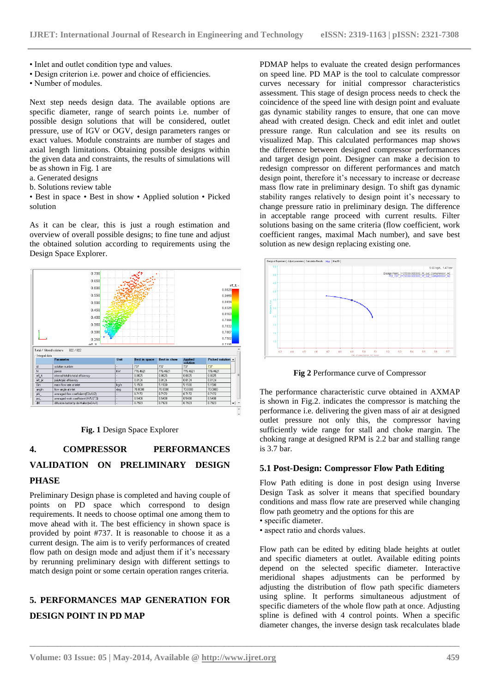- Inlet and outlet condition type and values.
- Design criterion i.e. power and choice of efficiencies.
- Number of modules.

Next step needs design data. The available options are specific diameter, range of search points i.e. number of possible design solutions that will be considered, outlet pressure, use of IGV or OGV, design parameters ranges or exact values. Module constraints are number of stages and axial length limitations. Obtaining possible designs within the given data and constraints, the results of simulations will be as shown in Fig. 1 are

- a. Generated designs
- b. Solutions review table

• Best in space • Best in show • Applied solution • Picked solution

As it can be clear, this is just a rough estimation and overview of overall possible designs; to fine tune and adjust the obtained solution according to requirements using the Design Space Explorer.



**Fig. 1** Design Space Explorer

# **4. COMPRESSOR PERFORMANCES VALIDATION ON PRELIMINARY DESIGN PHASE**

Preliminary Design phase is completed and having couple of points on PD space which correspond to design requirements. It needs to choose optimal one among them to move ahead with it. The best efficiency in shown space is provided by point #737. It is reasonable to choose it as a current design. The aim is to verify performances of created flow path on design mode and adjust them if it's necessary by rerunning preliminary design with different settings to match design point or some certain operation ranges criteria.

# **5. PERFORMANCES MAP GENERATION FOR DESIGN POINT IN PD MAP**

PDMAP helps to evaluate the created design performances on speed line. PD MAP is the tool to calculate compressor curves necessary for initial compressor characteristics assessment. This stage of design process needs to check the coincidence of the speed line with design point and evaluate gas dynamic stability ranges to ensure, that one can move ahead with created design. Check and edit inlet and outlet pressure range. Run calculation and see its results on visualized Map. This calculated performances map shows the difference between designed compressor performances and target design point. Designer can make a decision to redesign compressor on different performances and match design point, therefore it's necessary to increase or decrease mass flow rate in preliminary design. To shift gas dynamic stability ranges relatively to design point it's necessary to change pressure ratio in preliminary design. The difference in acceptable range proceed with current results. Filter solutions basing on the same criteria (flow coefficient, work coefficient ranges, maximal Mach number), and save best solution as new design replacing existing one.



**Fig 2** Performance curve of Compressor

The performance characteristic curve obtained in AXMAP is shown in Fig.2. indicates the compressor is matching the performance i.e. delivering the given mass of air at designed outlet pressure not only this, the compressor having sufficiently wide range for stall and choke margin. The choking range at designed RPM is 2.2 bar and stalling range is 3.7 bar.

#### **5.1 Post-Design: Compressor Flow Path Editing**

Flow Path editing is done in post design using Inverse Design Task as solver it means that specified boundary conditions and mass flow rate are preserved while changing flow path geometry and the options for this are

• specific diameter.

**\_\_\_\_\_\_\_\_\_\_\_\_\_\_\_\_\_\_\_\_\_\_\_\_\_\_\_\_\_\_\_\_\_\_\_\_\_\_\_\_\_\_\_\_\_\_\_\_\_\_\_\_\_\_\_\_\_\_\_\_\_\_\_\_\_\_\_\_\_\_\_\_\_\_\_\_\_\_\_\_\_\_\_\_\_\_\_\_\_\_\_\_\_\_\_**

• aspect ratio and chords values.

Flow path can be edited by editing blade heights at outlet and specific diameters at outlet. Available editing points depend on the selected specific diameter. Interactive meridional shapes adjustments can be performed by adjusting the distribution of flow path specific diameters using spline. It performs simultaneous adjustment of specific diameters of the whole flow path at once. Adjusting spline is defined with 4 control points. When a specific diameter changes, the inverse design task recalculates blade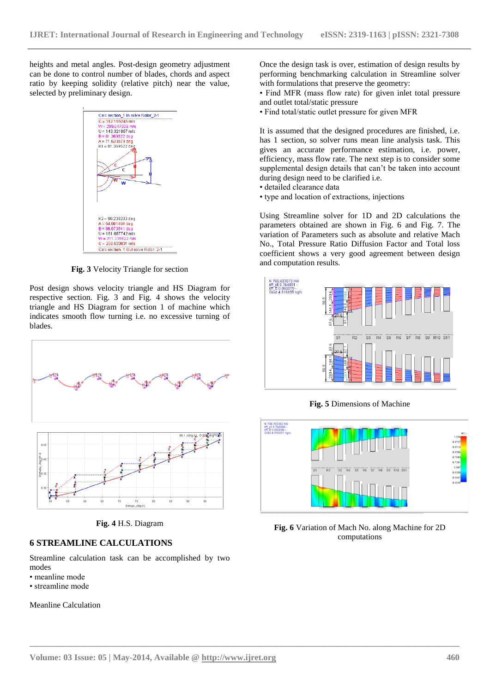heights and metal angles. Post-design geometry adjustment can be done to control number of blades, chords and aspect ratio by keeping solidity (relative pitch) near the value, selected by preliminary design.



**Fig. 3** Velocity Triangle for section

Post design shows velocity triangle and HS Diagram for respective section. Fig. 3 and Fig. 4 shows the velocity triangle and HS Diagram for section 1 of machine which indicates smooth flow turning i.e. no excessive turning of blades.





Entropy, J/(kg K)

86

#### **6 STREAMLINE CALCULATIONS**

 $66$ 

Streamline calculation task can be accomplished by two modes

- meanline mode
- streamline mode

Meanline Calculation

Once the design task is over, estimation of design results by performing benchmarking calculation in Streamline solver with formulations that preserve the geometry:

• Find MFR (mass flow rate) for given inlet total pressure and outlet total/static pressure

• Find total/static outlet pressure for given MFR

It is assumed that the designed procedures are finished, i.e. has 1 section, so solver runs mean line analysis task. This gives an accurate performance estimation, i.e. power, efficiency, mass flow rate. The next step is to consider some supplemental design details that can't be taken into account during design need to be clarified i.e.

- detailed clearance data
- type and location of extractions, injections

Using Streamline solver for 1D and 2D calculations the parameters obtained are shown in Fig. 6 and Fig. 7. The variation of Parameters such as absolute and relative Mach No., Total Pressure Ratio Diffusion Factor and Total loss coefficient shows a very good agreement between design and computation results.



**Fig. 5** Dimensions of Machine



**Fig. 6** Variation of Mach No. along Machine for 2D computations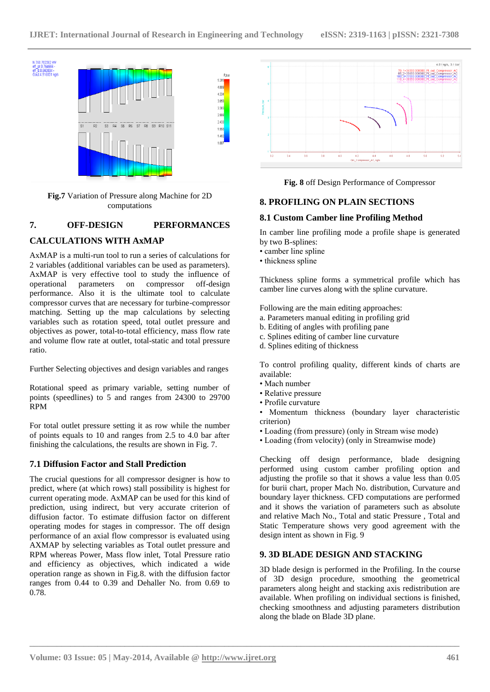

**Fig.7** Variation of Pressure along Machine for 2D computations

# **7. OFF-DESIGN PERFORMANCES**

# **CALCULATIONS WITH AxMAP**

AxMAP is a multi-run tool to run a series of calculations for 2 variables (additional variables can be used as parameters). AxMAP is very effective tool to study the influence of operational parameters on compressor off-design operational parameters on compressor off-design performance. Also it is the ultimate tool to calculate compressor curves that are necessary for turbine-compressor matching. Setting up the map calculations by selecting variables such as rotation speed, total outlet pressure and objectives as power, total-to-total efficiency, mass flow rate and volume flow rate at outlet, total-static and total pressure ratio.

Further Selecting objectives and design variables and ranges

Rotational speed as primary variable, setting number of points (speedlines) to 5 and ranges from 24300 to 29700 RPM

For total outlet pressure setting it as row while the number of points equals to 10 and ranges from 2.5 to 4.0 bar after finishing the calculations, the results are shown in Fig. 7.

# **7.1 Diffusion Factor and Stall Prediction**

The crucial questions for all compressor designer is how to predict, where (at which rows) stall possibility is highest for current operating mode. AxMAP can be used for this kind of prediction, using indirect, but very accurate criterion of diffusion factor. To estimate diffusion factor on different operating modes for stages in compressor. The off design performance of an axial flow compressor is evaluated using AXMAP by selecting variables as Total outlet pressure and RPM whereas Power, Mass flow inlet, Total Pressure ratio and efficiency as objectives, which indicated a wide operation range as shown in Fig.8. with the diffusion factor ranges from 0.44 to 0.39 and Dehaller No. from 0.69 to 0.78.



**Fig. 8** off Design Performance of Compressor

## **8. PROFILING ON PLAIN SECTIONS**

## **8.1 Custom Camber line Profiling Method**

In camber line profiling mode a profile shape is generated by two B-splines:

- camber line spline
- thickness spline

Thickness spline forms a symmetrical profile which has camber line curves along with the spline curvature.

Following are the main editing approaches:

- a. Parameters manual editing in profiling grid
- b. Editing of angles with profiling pane
- c. Splines editing of camber line curvature
- d. Splines editing of thickness

To control profiling quality, different kinds of charts are available:

• Mach number

**\_\_\_\_\_\_\_\_\_\_\_\_\_\_\_\_\_\_\_\_\_\_\_\_\_\_\_\_\_\_\_\_\_\_\_\_\_\_\_\_\_\_\_\_\_\_\_\_\_\_\_\_\_\_\_\_\_\_\_\_\_\_\_\_\_\_\_\_\_\_\_\_\_\_\_\_\_\_\_\_\_\_\_\_\_\_\_\_\_\_\_\_\_\_\_**

- Relative pressure
- Profile curvature

• Momentum thickness (boundary layer characteristic criterion)

- Loading (from pressure) (only in Stream wise mode)
- Loading (from velocity) (only in Streamwise mode)

Checking off design performance, blade designing performed using custom camber profiling option and adjusting the profile so that it shows a value less than 0.05 for burii chart, proper Mach No. distribution, Curvature and boundary layer thickness. CFD computations are performed and it shows the variation of parameters such as absolute and relative Mach No., Total and static Pressure , Total and Static Temperature shows very good agreement with the design intent as shown in Fig. 9

#### **9. 3D BLADE DESIGN AND STACKING**

3D blade design is performed in the Profiling. In the course of 3D design procedure, smoothing the geometrical parameters along height and stacking axis redistribution are available. When profiling on individual sections is finished, checking smoothness and adjusting parameters distribution along the blade on Blade 3D plane.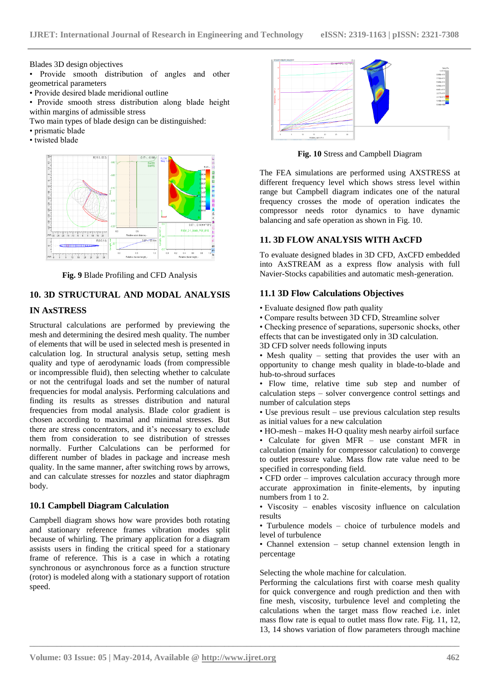Blades 3D design objectives

- Provide smooth distribution of angles and other geometrical parameters
- Provide desired blade meridional outline
- Provide smooth stress distribution along blade height within margins of admissible stress
- Two main types of blade design can be distinguished:
- prismatic blade
- twisted blade



**Fig. 9** Blade Profiling and CFD Analysis

# **10. 3D STRUCTURAL AND MODAL ANALYSIS**

## **IN AxSTRESS**

Structural calculations are performed by previewing the mesh and determining the desired mesh quality. The number of elements that will be used in selected mesh is presented in calculation log. In structural analysis setup, setting mesh quality and type of aerodynamic loads (from compressible or incompressible fluid), then selecting whether to calculate or not the centrifugal loads and set the number of natural frequencies for modal analysis. Performing calculations and finding its results as stresses distribution and natural frequencies from modal analysis. Blade color gradient is chosen according to maximal and minimal stresses. But there are stress concentrators, and it's necessary to exclude them from consideration to see distribution of stresses normally. Further Calculations can be performed for different number of blades in package and increase mesh quality. In the same manner, after switching rows by arrows, and can calculate stresses for nozzles and stator diaphragm body.

#### **10.1 Campbell Diagram Calculation**

Campbell diagram shows how ware provides both rotating and stationary reference frames vibration modes split because of whirling. The primary application for a diagram assists users in finding the critical speed for a stationary frame of reference. This is a case in which a rotating synchronous or asynchronous force as a function structure (rotor) is modeled along with a stationary support of rotation speed.



**Fig. 10** Stress and Campbell Diagram

The FEA simulations are performed using AXSTRESS at different frequency level which shows stress level within range but Campbell diagram indicates one of the natural frequency crosses the mode of operation indicates the compressor needs rotor dynamics to have dynamic balancing and safe operation as shown in Fig. 10.

#### **11. 3D FLOW ANALYSIS WITH AxCFD**

To evaluate designed blades in 3D CFD, AxCFD embedded into AxSTREAM as a express flow analysis with full Navier-Stocks capabilities and automatic mesh-generation.

#### **11.1 3D Flow Calculations Objectives**

- Evaluate designed flow path quality
- Compare results between 3D CFD, Streamline solver

• Checking presence of separations, supersonic shocks, other effects that can be investigated only in 3D calculation.

3D CFD solver needs following inputs

• Mesh quality – setting that provides the user with an opportunity to change mesh quality in blade-to-blade and hub-to-shroud surfaces

• Flow time, relative time sub step and number of calculation steps – solver convergence control settings and number of calculation steps

• Use previous result – use previous calculation step results as initial values for a new calculation

• HO-mesh – makes H-O quality mesh nearby airfoil surface

• Calculate for given MFR – use constant MFR in calculation (mainly for compressor calculation) to converge to outlet pressure value. Mass flow rate value need to be specified in corresponding field.

• CFD order – improves calculation accuracy through more accurate approximation in finite-elements, by inputing numbers from 1 to 2.

• Viscosity – enables viscosity influence on calculation results

• Turbulence models – choice of turbulence models and level of turbulence

• Channel extension – setup channel extension length in percentage

#### Selecting the whole machine for calculation.

Performing the calculations first with coarse mesh quality for quick convergence and rough prediction and then with fine mesh, viscosity, turbulence level and completing the calculations when the target mass flow reached i.e. inlet mass flow rate is equal to outlet mass flow rate. Fig. 11, 12, 13, 14 shows variation of flow parameters through machine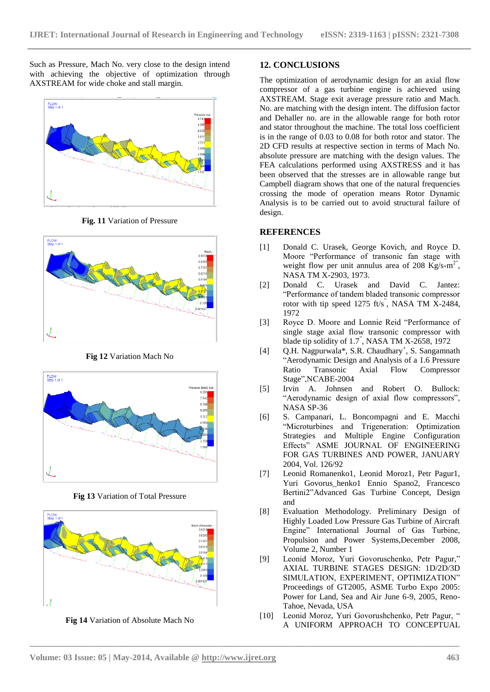Such as Pressure, Mach No. very close to the design intend with achieving the objective of optimization through AXSTREAM for wide choke and stall margin.



**Fig. 11** Variation of Pressure



**Fig 12** Variation Mach No



**Fig 13** Variation of Total Pressure



**Fig 14** Variation of Absolute Mach No

#### **12. CONCLUSIONS**

The optimization of aerodynamic design for an axial flow compressor of a gas turbine engine is achieved using AXSTREAM. Stage exit average pressure ratio and Mach. No. are matching with the design intent. The diffusion factor and Dehaller no. are in the allowable range for both rotor and stator throughout the machine. The total loss coefficient is in the range of 0.03 to 0.08 for both rotor and stator. The 2D CFD results at respective section in terms of Mach No. absolute pressure are matching with the design values. The FEA calculations performed using AXSTRESS and it has been observed that the stresses are in allowable range but Campbell diagram shows that one of the natural frequencies crossing the mode of operation means Rotor Dynamic Analysis is to be carried out to avoid structural failure of design.

#### **REFERENCES**

- [1] Donald C. Urasek, George Kovich, and Royce D. Moore "Performance of transonic fan stage with weight flow per unit annulus area of 208 Kg/s-m<sup>2"</sup>, NASA TM X-2903, 1973.
- [2] Donald C. Urasek and David C. Jantez: "Performance of tandem bladed transonic compressor rotor with tip speed 1275 ft/s<sup>"</sup>, NASA TM X-2484, 1972
- [3] Royce D. Moore and Lonnie Reid "Performance of single stage axial flow transonic compressor with blade tip solidity of 1.7" , NASA TM X-2658, 1972
- [4] Q.H. Nagpurwala\*, S.R. Chaudhary<sup>+</sup>, S. Sangamnath "Aerodynamic Design and Analysis of a 1.6 Pressure Ratio Transonic Axial Flow Compressor Stage",NCABE-2004
- [5] Irvin A. Johnsen and Robert O. Bullock: "Aerodynamic design of axial flow compressors", NASA SP-36
- [6] S. Campanari, L. Boncompagni and E. Macchi "Microturbines and Trigeneration: Optimization Strategies and Multiple Engine Configuration Effects" ASME JOURNAL OF ENGINEERING FOR GAS TURBINES AND POWER, JANUARY 2004, Vol. 126/92
- [7] Leonid Romanenko1, Leonid Moroz1, Petr Pagur1, Yuri Govorus\_henko1 Ennio Spano2, Francesco Bertini2"Advanced Gas Turbine Concept, Design and
- [8] Evaluation Methodology. Preliminary Design of Highly Loaded Low Pressure Gas Turbine of Aircraft Engine" International Journal of Gas Turbine, Propulsion and Power Systems,December 2008, Volume 2, Number 1
- [9] Leonid Moroz, Yuri Govorusсhenko, Petr Pagur," AXIAL TURBINE STAGES DESIGN: 1D/2D/3D SIMULATION, EXPERIMENT, OPTIMIZATION" Proceedings of GT2005, ASME Turbo Expo 2005: Power for Land, Sea and Air June 6-9, 2005, Reno-Tahoe, Nevada, USA
- [10] Leonid Moroz, Yuri Govorushchenko, Petr Pagur, " A UNIFORM APPROACH TO CONCEPTUAL